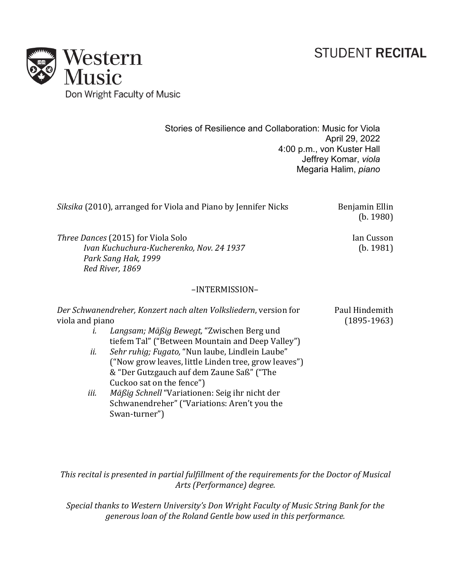## **STUDENT RECITAL**



Stories of Resilience and Collaboration: Music for Viola April 29, 2022 4:00 p.m., von Kuster Hall Jeffrey Komar, *viola* Megaria Halim, *piano*

|                                                                                                                                 | Siksika (2010), arranged for Viola and Piano by Jennifer Nicks                                                                                                                                                                                                                                                                                                                                                                                                            | Benjamin Ellin<br>(b. 1980)     |
|---------------------------------------------------------------------------------------------------------------------------------|---------------------------------------------------------------------------------------------------------------------------------------------------------------------------------------------------------------------------------------------------------------------------------------------------------------------------------------------------------------------------------------------------------------------------------------------------------------------------|---------------------------------|
| <i>Three Dances</i> (2015) for Viola Solo<br>Ivan Kuchuchura-Kucherenko, Nov. 24 1937<br>Park Sang Hak, 1999<br>Red River, 1869 |                                                                                                                                                                                                                                                                                                                                                                                                                                                                           | Ian Cusson<br>(b. 1981)         |
|                                                                                                                                 | -INTERMISSION-                                                                                                                                                                                                                                                                                                                                                                                                                                                            |                                 |
| viola and piano<br>i.<br>ii.<br>iii.                                                                                            | Der Schwanendreher, Konzert nach alten Volksliedern, version for<br>Langsam; Mäßig Bewegt, "Zwischen Berg und<br>tiefem Tal" ("Between Mountain and Deep Valley")<br>Sehr ruhig; Fugato, "Nun laube, Lindlein Laube"<br>("Now grow leaves, little Linden tree, grow leaves")<br>& "Der Gutzgauch auf dem Zaune Saß" ("The<br>Cuckoo sat on the fence")<br>Mäßig Schnell "Variationen: Seig ihr nicht der<br>Schwanendreher" ("Variations: Aren't you the<br>Swan-turner") | Paul Hindemith<br>$(1895-1963)$ |

This recital is presented in partial fulfillment of the requirements for the Doctor of Musical *Arts (Performance) degree.*

Special thanks to Western University's Don Wright Faculty of Music String Bank for the *generous loan of the Roland Gentle bow used in this performance.*